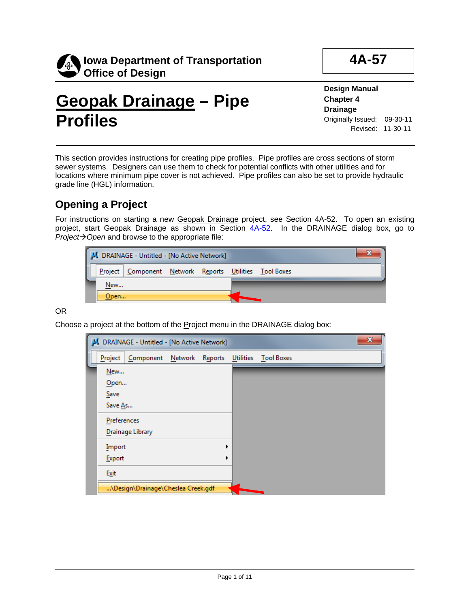

**4A-57**

# **Geopak Drainage – Pipe Profiles**

**Design Manual Chapter 4 Drainage** Originally Issued: 09-30-11 Revised: 11-30-11

This section provides instructions for creating pipe profiles. Pipe profiles are cross sections of storm sewer systems. Designers can use them to check for potential conflicts with other utilities and for locations where minimum pipe cover is not achieved. Pipe profiles can also be set to provide hydraulic grade line (HGL) information.

# **Opening a Project**

For instructions on starting a new Geopak Drainage project, see Section 4A-52. To open an existing project, start Geopak Drainage as shown in Section 4A-52. In the DRAINAGE dialog box, go to *Project* $\rightarrow$  *Open* and browse to the appropriate file:

|      | J DRAINAGE - Untitled - [No Active Network]              |  |  |  |
|------|----------------------------------------------------------|--|--|--|
|      | Project   Component Network Reports Utilities Tool Boxes |  |  |  |
| New  |                                                          |  |  |  |
| Open |                                                          |  |  |  |

OR

Choose a project at the bottom of the Project menu in the DRAINAGE dialog box:

|             | J DRAINAGE - Untitled - [No Active Network] |  |                  |                   |  | $\mathbf{x}$ |
|-------------|---------------------------------------------|--|------------------|-------------------|--|--------------|
| Project     | Component Network Reports                   |  | <b>Utilities</b> | <b>Tool Boxes</b> |  |              |
| New         |                                             |  |                  |                   |  |              |
| Open        |                                             |  |                  |                   |  |              |
| Save        |                                             |  |                  |                   |  |              |
| Save As     |                                             |  |                  |                   |  |              |
| Preferences |                                             |  |                  |                   |  |              |
|             | Drainage Library                            |  |                  |                   |  |              |
| Import      |                                             |  |                  |                   |  |              |
| Export      |                                             |  |                  |                   |  |              |
| Exit        |                                             |  |                  |                   |  |              |
|             | \Design\Drainage\Cheslea Creek.gdf          |  |                  |                   |  |              |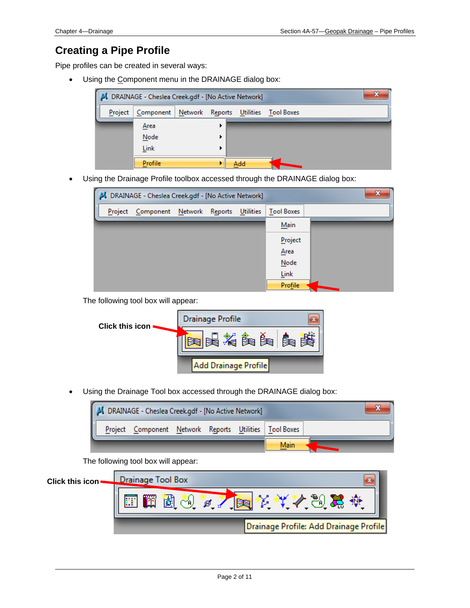# **Creating a Pipe Profile**

Pipe profiles can be created in several ways:

• Using the Component menu in the DRAINAGE dialog box:



Using the Drainage Profile toolbox accessed through the DRAINAGE dialog box:



The following tool box will appear:



• Using the Drainage Tool box accessed through the DRAINAGE dialog box:



The following tool box will appear:

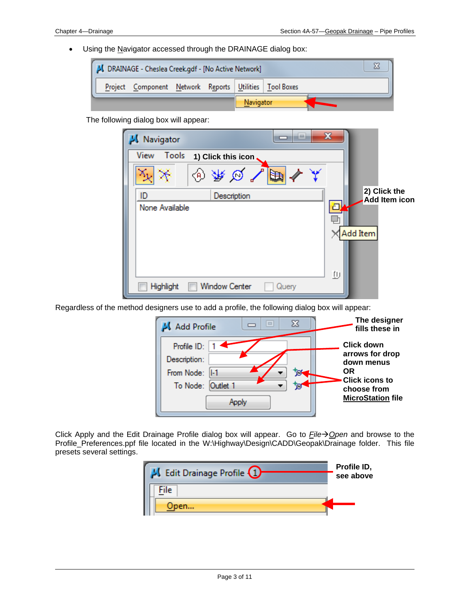• Using the Navigator accessed through the DRAINAGE dialog box:



The following dialog box will appear:

| Navigator                           | $\mathbf x$<br>i=i       |                               |
|-------------------------------------|--------------------------|-------------------------------|
| View<br>Tools<br>1) Click this icon |                          |                               |
| 伦                                   | ↗<br>$\varnothing$<br>È₩ |                               |
| ID<br>Description                   |                          | 2) Click the<br>Add Item icon |
| None Available                      | л                        |                               |
|                                     |                          |                               |
|                                     |                          | Add Item                      |
|                                     |                          |                               |
|                                     |                          |                               |
| <b>Window Center</b><br>Highlight   | ŢIJ<br>Query             |                               |

Regardless of the method designers use to add a profile, the following dialog box will appear:



Click Apply and the Edit Drainage Profile dialog box will appear. Go to *File*→ Open and browse to the Profile\_Preferences.ppf file located in the W:\Highway\Design\CADD\Geopak\Drainage folder. This file presets several settings.

| <b>LG</b> Edit Drainage Profile $(1)$ | Profile ID,<br>see above |
|---------------------------------------|--------------------------|
| File                                  |                          |
| Open                                  |                          |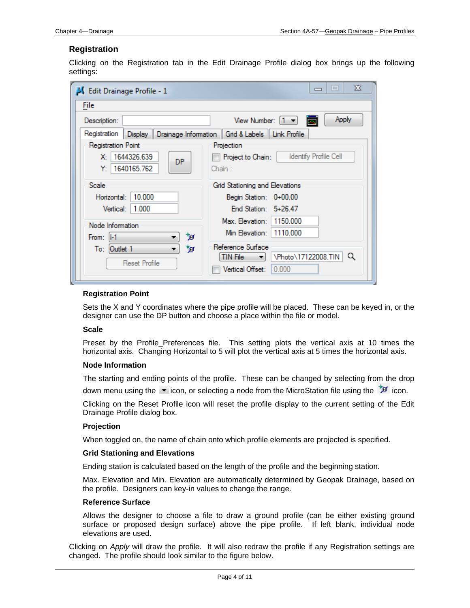# **Registration**

Clicking on the Registration tab in the Edit Drainage Profile dialog box brings up the following settings:

| LG Edit Drainage Profile - 1                                                    | x<br>$\Box$<br>$\Box$                                                |
|---------------------------------------------------------------------------------|----------------------------------------------------------------------|
| File                                                                            |                                                                      |
| Description:                                                                    | Apply<br>View Number: $\begin{bmatrix} 1 & \mathbf{v} \end{bmatrix}$ |
| Registration   Display    Drainage Information    Grid & Labels    Link Profile |                                                                      |
| Registration Point                                                              | Projection                                                           |
| 1644326.639<br>X.<br>DP.                                                        | <b>Identify Profile Cell</b><br>Project to Chain:                    |
| 1640165.762<br>Y.                                                               | Chain :                                                              |
| Scale                                                                           | Grid Stationing and Elevations                                       |
| 10.000<br>Horizontal:                                                           | Begin Station: 0+00.00                                               |
| 1.000<br>Vertical:                                                              | End Station: $5+26.47$                                               |
| Node Information                                                                | Max. Elevation: 1150.000                                             |
| ৳অ<br>From: $  -1  $                                                            | 1110,000<br>Min Elevation:                                           |
| To: Outlet 1<br>™ল                                                              | Reference Surface                                                    |
| <b>Reset Profile</b>                                                            | \Photo\17122008.TIN<br>Q<br>TIN File<br>▼∣                           |
|                                                                                 | Vertical Offset:<br>0.000                                            |
|                                                                                 |                                                                      |

# **Registration Point**

Sets the X and Y coordinates where the pipe profile will be placed. These can be keyed in, or the designer can use the DP button and choose a place within the file or model.

### **Scale**

Preset by the Profile Preferences file. This setting plots the vertical axis at 10 times the horizontal axis. Changing Horizontal to 5 will plot the vertical axis at 5 times the horizontal axis.

#### **Node Information**

The starting and ending points of the profile. These can be changed by selecting from the drop down menu using the  $\blacktriangledown$  icon, or selecting a node from the MicroStation file using the  $\mathbb{\mathbb{F}}$  icon.

Clicking on the Reset Profile icon will reset the profile display to the current setting of the Edit Drainage Profile dialog box.

# **Projection**

When toggled on, the name of chain onto which profile elements are projected is specified.

#### **Grid Stationing and Elevations**

Ending station is calculated based on the length of the profile and the beginning station.

Max. Elevation and Min. Elevation are automatically determined by Geopak Drainage, based on the profile. Designers can key-in values to change the range.

### **Reference Surface**

Allows the designer to choose a file to draw a ground profile (can be either existing ground surface or proposed design surface) above the pipe profile. If left blank, individual node elevations are used.

Clicking on *Apply* will draw the profile. It will also redraw the profile if any Registration settings are changed. The profile should look similar to the figure below.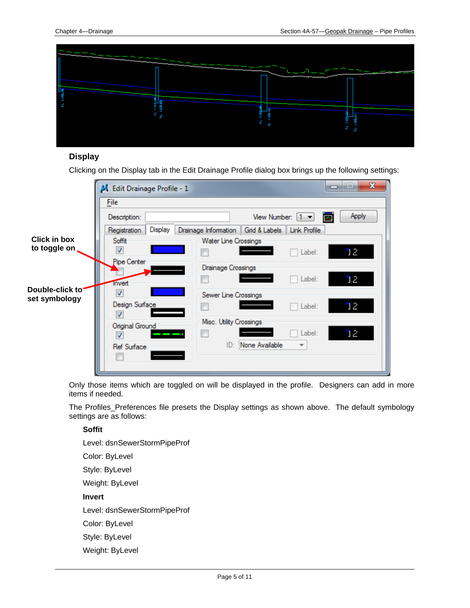

# **Display**

Clicking on the Display tab in the Edit Drainage Profile dialog box brings up the following settings:

|                  | x<br>Edit Drainage Profile - 1<br>-                                                  |
|------------------|--------------------------------------------------------------------------------------|
|                  | File                                                                                 |
|                  | Apply<br>View Number: $\begin{bmatrix} 1 & \star \end{bmatrix}$<br>Description:<br>ø |
|                  | Drainage Information   Grid & Labels   Link Profile<br>Display<br>Registration       |
| Click in box     | Soffit<br>Water Line Crossings                                                       |
| to toggle on     | ⊽<br>ነ2<br>Label:                                                                    |
|                  | Pipe Center<br>Drainage Crossings<br>12<br>Label:                                    |
| Double-click to" | <b>Invert</b><br>J                                                                   |
| set symbology    | Sewer Line Crossings<br>Design Surface<br>ነ2<br>Label:<br>V                          |
|                  | Misc. Utility Crossings<br>Original Ground<br>12<br>Label:<br>V                      |
|                  | None Available<br>ID:<br>$\overline{\mathbf{v}}$<br><b>Ref Surface</b>               |

Only those items which are toggled on will be displayed in the profile. Designers can add in more items if needed.

The Profiles\_Preferences file presets the Display settings as shown above. The default symbology settings are as follows:

# **Soffit**

Level: dsnSewerStormPipeProf Color: ByLevel Style: ByLevel Weight: ByLevel **Invert** Level: dsnSewerStormPipeProf Color: ByLevel Style: ByLevel Weight: ByLevel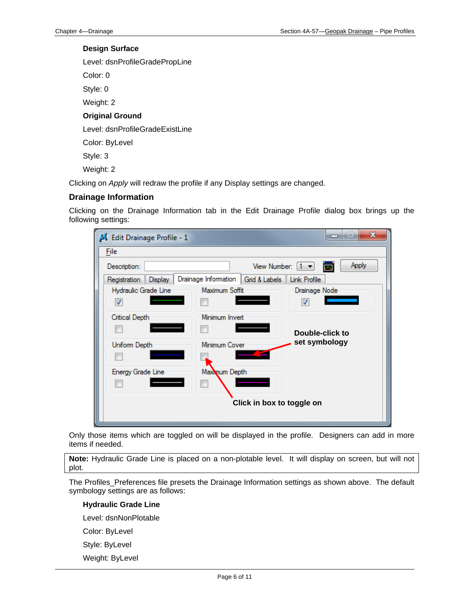# **Design Surface**

Level: dsnProfileGradePropLine

Color: 0

Style: 0

Weight: 2

# **Original Ground**

Level: dsnProfileGradeExistLine

Color: ByLevel

Style: 3

Weight: 2

Clicking on *Apply* will redraw the profile if any Display settings are changed.

# **Drainage Information**

Clicking on the Drainage Information tab in the Edit Drainage Profile dialog box brings up the following settings:

| Edit Drainage Profile - 1 |                                                                                  | $\mathbf x$<br>--        |  |  |  |  |  |
|---------------------------|----------------------------------------------------------------------------------|--------------------------|--|--|--|--|--|
| File                      |                                                                                  |                          |  |  |  |  |  |
| Description:              | <b>Apply</b><br>View Number: $\begin{bmatrix} 1 & \mathbf{v} \end{bmatrix}$<br>A |                          |  |  |  |  |  |
| Registration   Display    | Drainage Information   Grid & Labels   Link Profile                              |                          |  |  |  |  |  |
| Hydraulic Grade Line      | Maximum Soffit                                                                   | Drainage Node            |  |  |  |  |  |
| ⊽                         |                                                                                  | $\overline{\mathcal{L}}$ |  |  |  |  |  |
| Critical Depth            | Minimum Invert                                                                   |                          |  |  |  |  |  |
|                           |                                                                                  | Double-click to          |  |  |  |  |  |
| Uniform Depth             | Minimum Cover                                                                    | set symbology            |  |  |  |  |  |
|                           |                                                                                  |                          |  |  |  |  |  |
| Energy Grade Line         | Maxwum Depth                                                                     |                          |  |  |  |  |  |
|                           |                                                                                  |                          |  |  |  |  |  |
| Click in box to toggle on |                                                                                  |                          |  |  |  |  |  |
|                           |                                                                                  |                          |  |  |  |  |  |

Only those items which are toggled on will be displayed in the profile. Designers can add in more items if needed.

**Note:** Hydraulic Grade Line is placed on a non-plotable level. It will display on screen, but will not plot.

The Profiles\_Preferences file presets the Drainage Information settings as shown above. The default symbology settings are as follows:

### **Hydraulic Grade Line**

Level: dsnNonPlotable

Color: ByLevel

Style: ByLevel

Weight: ByLevel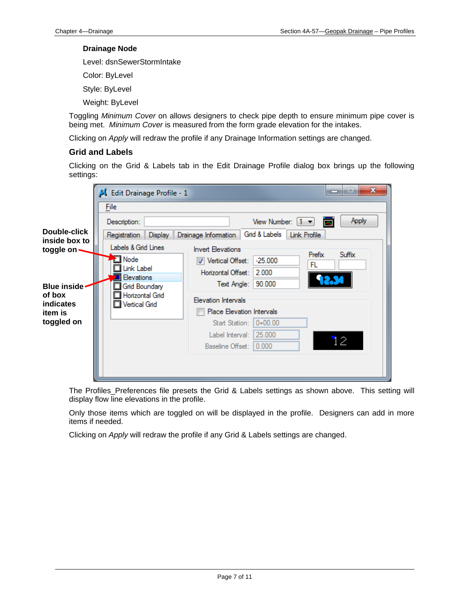#### **Drainage Node**

Level: dsnSewerStormIntake

Color: ByLevel

Style: ByLevel

Weight: ByLevel

Toggling *Minimum Cover* on allows designers to check pipe depth to ensure minimum pipe cover is being met. *Minimum Cover* is measured from the form grade elevation for the intakes.

Clicking on *Apply* will redraw the profile if any Drainage Information settings are changed.

# **Grid and Labels**

Clicking on the Grid & Labels tab in the Edit Drainage Profile dialog box brings up the following settings:



The Profiles Preferences file presets the Grid & Labels settings as shown above. This setting will display flow line elevations in the profile.

Only those items which are toggled on will be displayed in the profile. Designers can add in more items if needed.

Clicking on *Apply* will redraw the profile if any Grid & Labels settings are changed.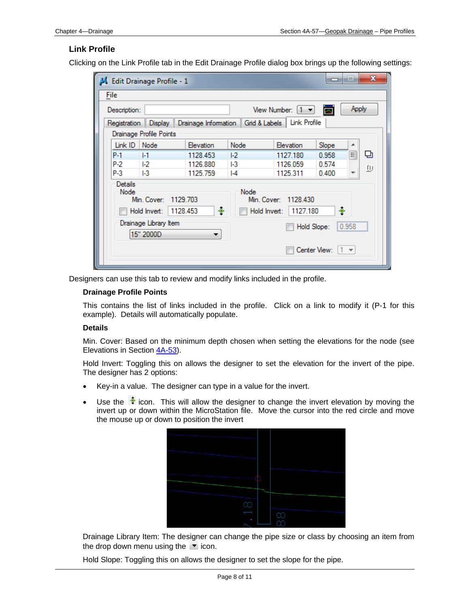# **Link Profile**

Clicking on the Link Profile tab in the Edit Drainage Profile dialog box brings up the following settings:

|                       | $\mathbf x$<br>$\equiv$<br>-<br>Edit Drainage Profile - 1                                                                                       |                                    |           |                                                                                 |             |       |          |   |
|-----------------------|-------------------------------------------------------------------------------------------------------------------------------------------------|------------------------------------|-----------|---------------------------------------------------------------------------------|-------------|-------|----------|---|
|                       | File                                                                                                                                            |                                    |           |                                                                                 |             |       |          |   |
|                       | Apply<br>View Number: $[1 -$<br>b<br>Description:                                                                                               |                                    |           |                                                                                 |             |       |          |   |
|                       |                                                                                                                                                 |                                    |           | Registration    Display    Drainage Information    Grid & Labels   Link Profile |             |       |          |   |
|                       |                                                                                                                                                 | Drainage Profile Points            |           |                                                                                 |             |       |          |   |
|                       | Link ID                                                                                                                                         | Node                               | Elevation | Node                                                                            | Elevation   | Slope | ▲        |   |
|                       | P-1                                                                                                                                             | $  - 1$                            | 1128.453  | E <sub>2</sub>                                                                  | 1127.180    | 0.958 | $\equiv$ | 던 |
|                       | P-2                                                                                                                                             | E <sub>2</sub>                     | 1126.880  |                                                                                 | 1126.059    | 0.574 |          | Φ |
|                       | P-3                                                                                                                                             | $ {-}3 $                           | 1125.759  | $  -4$                                                                          | 1125.311    | 0.400 | ٠        |   |
|                       | Details<br>Node<br>Node<br>Min. Cover:<br>1129.703<br>Min. Cover:<br>1128.430<br>۰<br>۰<br>1128.453<br>1127.180<br>Hold Invert:<br>Hold Invert: |                                    |           |                                                                                 |             |       |          |   |
|                       |                                                                                                                                                 | Drainage Library Item<br>15" 2000D |           |                                                                                 | Hold Slope: |       | 0.958    |   |
| Center View:<br>$1 -$ |                                                                                                                                                 |                                    |           |                                                                                 |             |       |          |   |

Designers can use this tab to review and modify links included in the profile.

# **Drainage Profile Points**

This contains the list of links included in the profile. Click on a link to modify it (P-1 for this example). Details will automatically populate.

# **Details**

Min. Cover: Based on the minimum depth chosen when setting the elevations for the node (see Elevations in Section 4A-53).

Hold Invert: Toggling this on allows the designer to set the elevation for the invert of the pipe. The designer has 2 options:

- Key-in a value. The designer can type in a value for the invert.
- Use the  $\triangleq$  icon. This will allow the designer to change the invert elevation by moving the invert up or down within the MicroStation file. Move the cursor into the red circle and move the mouse up or down to position the invert



Drainage Library Item: The designer can change the pipe size or class by choosing an item from the drop down menu using the  $\bullet$  icon.

Hold Slope: Toggling this on allows the designer to set the slope for the pipe.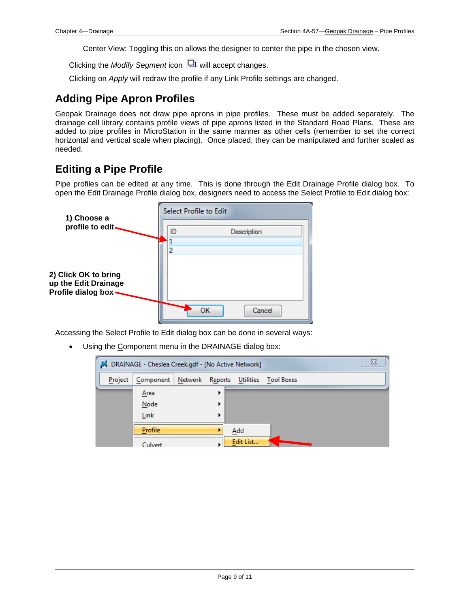Center View: Toggling this on allows the designer to center the pipe in the chosen view.

Clicking the *Modify Segment* icon  $\Box$  will accept changes.

Clicking on *Apply* will redraw the profile if any Link Profile settings are changed.

# **Adding Pipe Apron Profiles**

Geopak Drainage does not draw pipe aprons in pipe profiles. These must be added separately. The drainage cell library contains profile views of pipe aprons listed in the Standard Road Plans. These are added to pipe profiles in MicroStation in the same manner as other cells (remember to set the correct horizontal and vertical scale when placing). Once placed, they can be manipulated and further scaled as needed.

# **Editing a Pipe Profile**

Pipe profiles can be edited at any time. This is done through the Edit Drainage Profile dialog box. To open the Edit Drainage Profile dialog box, designers need to access the Select Profile to Edit dialog box:

| 1) Choose a                                                          | Select Profile to Edit |  |  |  |  |
|----------------------------------------------------------------------|------------------------|--|--|--|--|
| profile to edit-                                                     | ID<br>Description      |  |  |  |  |
|                                                                      | 2                      |  |  |  |  |
| 2) Click OK to bring<br>up the Edit Drainage<br>Profile dialog box - |                        |  |  |  |  |
|                                                                      | Cancel<br>ок           |  |  |  |  |

Accessing the Select Profile to Edit dialog box can be done in several ways:

• Using the Component menu in the DRAINAGE dialog box:

|         | J DRAINAGE - Cheslea Creek.gdf - [No Active Network] |  |  |           |                                      |  |  |  |  |
|---------|------------------------------------------------------|--|--|-----------|--------------------------------------|--|--|--|--|
| Project | Component                                            |  |  |           | Network Reports Utilities Tool Boxes |  |  |  |  |
|         | Area                                                 |  |  |           |                                      |  |  |  |  |
|         | Node                                                 |  |  |           |                                      |  |  |  |  |
|         | Link                                                 |  |  |           |                                      |  |  |  |  |
|         | Profile                                              |  |  | Add       |                                      |  |  |  |  |
|         | Culvert                                              |  |  | Edit List |                                      |  |  |  |  |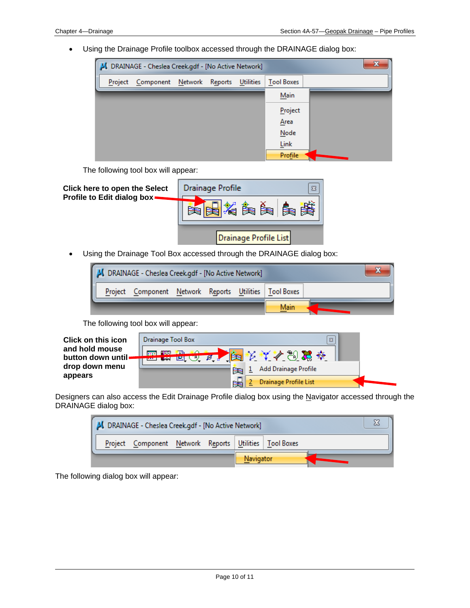• Using the Drainage Profile toolbox accessed through the DRAINAGE dialog box:



The following tool box will appear:

| <b>Click here to open the Select</b><br>Profile to Edit dialog box. | Drainage Profile<br>$\Sigma$ |
|---------------------------------------------------------------------|------------------------------|
|                                                                     | 人名奥利奥                        |
|                                                                     | Drainage Profile List        |

• Using the Drainage Tool Box accessed through the DRAINAGE dialog box:



The following tool box will appear:

| <b>Click on this icon</b>            | Drainage Tool Box<br>$\mathbb{Z}$ |
|--------------------------------------|-----------------------------------|
| and hold mouse<br>button down until. | 医同 解放 迷路<br>瓣<br>₪<br>「四にり        |
| drop down menu<br>appears            | Add Drainage Profile<br>ਇਥ        |
|                                      | Drainage Profile List             |

Designers can also access the Edit Drainage Profile dialog box using the Navigator accessed through the DRAINAGE dialog box:



The following dialog box will appear: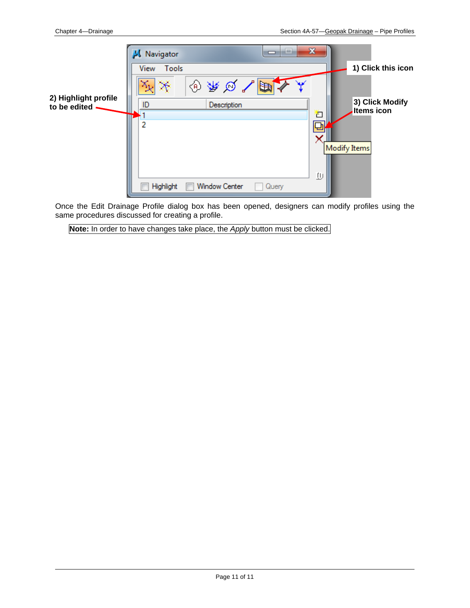|                                      | Navigator     |                      | --    | $\mathbf{x}$ |                                      |
|--------------------------------------|---------------|----------------------|-------|--------------|--------------------------------------|
| 2) Highlight profile<br>to be edited | View<br>Tools |                      |       |              | 1) Click this icon                   |
|                                      |               | ⊕₩∞√⊫                |       |              |                                      |
|                                      | ID            | Description          |       |              | 3) Click Modify<br><b>Items icon</b> |
|                                      | 2             |                      |       | F            |                                      |
|                                      |               |                      |       |              |                                      |
|                                      |               |                      |       |              | <b>Modify Items</b>                  |
|                                      |               |                      |       |              |                                      |
|                                      |               |                      |       | Φ            |                                      |
|                                      | Highlight     | <b>Window Center</b> | Query |              |                                      |

Once the Edit Drainage Profile dialog box has been opened, designers can modify profiles using the same procedures discussed for creating a profile.

**Note:** In order to have changes take place, the *Apply* button must be clicked.